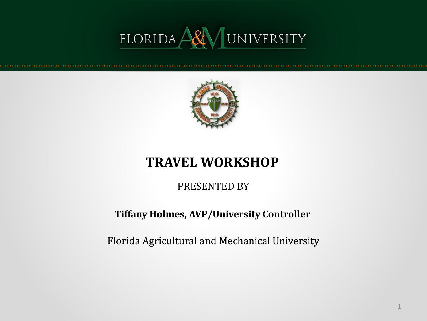



#### **TRAVEL WORKSHOP**

#### PRESENTED BY

#### **Tiffany Holmes, AVP/University Controller**

Florida Agricultural and Mechanical University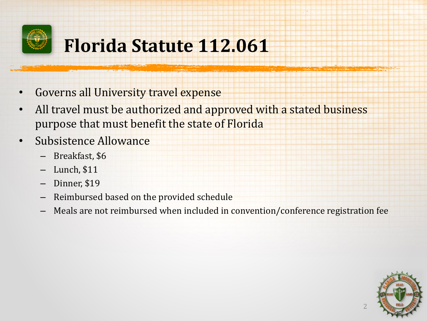

### **Florida Statute 112.061**

- Governs all University travel expense
- All travel must be authorized and approved with a stated business purpose that must benefit the state of Florida
- Subsistence Allowance
	- Breakfast, \$6
	- Lunch, \$11
	- Dinner, \$19
	- Reimbursed based on the provided schedule
	- Meals are not reimbursed when included in convention/conference registration fee

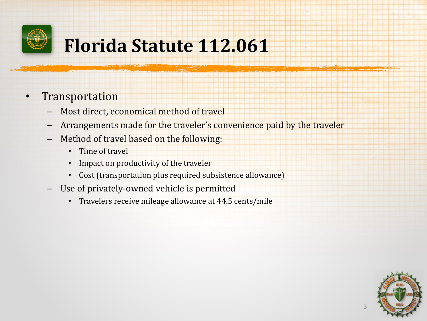

### **Florida Statute 112.061**

- **Transportation** 
	- Most direct, economical method of travel
	- Arrangements made for the traveler's convenience paid by the traveler
	- Method of travel based on the following:
		- Time of travel
		- Impact on productivity of the traveler
		- Cost (transportation plus required subsistence allowance)
	- Use of privately-owned vehicle is permitted
		- Travelers receive mileage allowance at 44.5 cents/mile

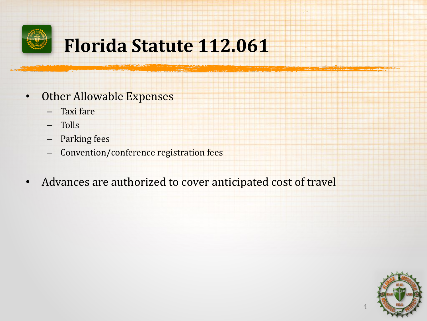

### **Florida Statute 112.061**

- Other Allowable Expenses
	- Taxi fare
	- Tolls
	- Parking fees
	- Convention/conference registration fees
- Advances are authorized to cover anticipated cost of travel

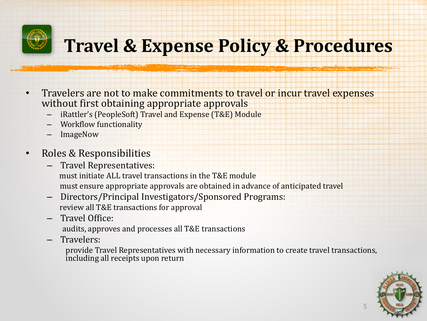

- Travelers are not to make commitments to travel or incur travel expenses without first obtaining appropriate approvals
	- iRattler's (PeopleSoft) Travel and Expense (T&E) Module
	- Workflow functionality
	- ImageNow

#### • Roles & Responsibilities

- Travel Representatives: must initiate ALL travel transactions in the T&E module must ensure appropriate approvals are obtained in advance of anticipated travel
- Directors/Principal Investigators/Sponsored Programs: review all T&E transactions for approval
- Travel Office:
	- audits, approves and processes all T&E transactions
- Travelers:

provide Travel Representatives with necessary information to create travel transactions, including all receipts upon return

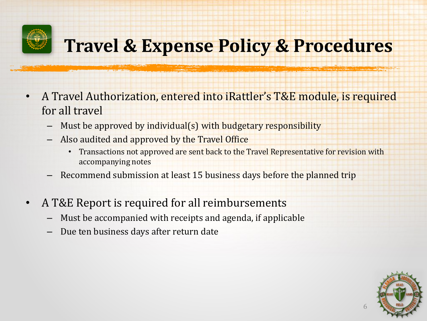

- A Travel Authorization, entered into iRattler's T&E module, is required for all travel
	- Must be approved by individual(s) with budgetary responsibility
	- Also audited and approved by the Travel Office
		- Transactions not approved are sent back to the Travel Representative for revision with accompanying notes
	- Recommend submission at least 15 business days before the planned trip
- A T&E Report is required for all reimbursements
	- Must be accompanied with receipts and agenda, if applicable
	- Due ten business days after return date

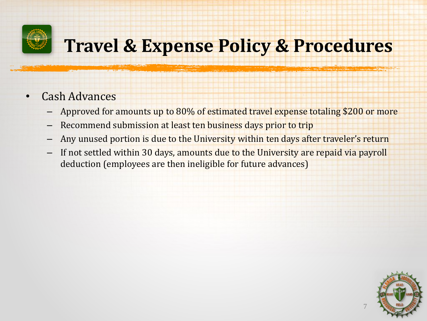

- Cash Advances
	- Approved for amounts up to 80% of estimated travel expense totaling \$200 or more
	- Recommend submission at least ten business days prior to trip
	- Any unused portion is due to the University within ten days after traveler's return
	- If not settled within 30 days, amounts due to the University are repaid via payroll deduction (employees are then ineligible for future advances)

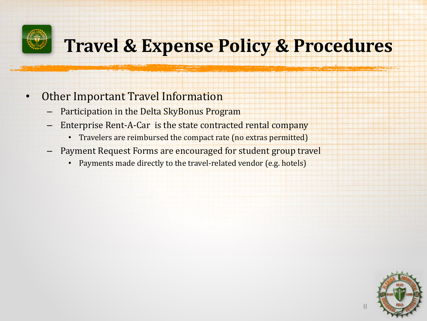

- Other Important Travel Information
	- Participation in the Delta SkyBonus Program
	- Enterprise Rent-A-Car is the state contracted rental company
		- Travelers are reimbursed the compact rate (no extras permitted)
	- Payment Request Forms are encouraged for student group travel
		- Payments made directly to the travel-related vendor (e.g. hotels)

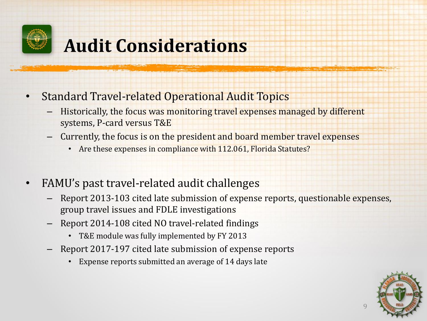

### **Audit Considerations**

- Standard Travel-related Operational Audit Topics
	- Historically, the focus was monitoring travel expenses managed by different systems, P-card versus T&E
	- Currently, the focus is on the president and board member travel expenses
		- Are these expenses in compliance with 112.061, Florida Statutes?
- FAMU's past travel-related audit challenges
	- Report 2013-103 cited late submission of expense reports, questionable expenses, group travel issues and FDLE investigations
	- Report 2014-108 cited NO travel-related findings
		- T&E module was fully implemented by FY 2013
	- Report 2017-197 cited late submission of expense reports
		- Expense reports submitted an average of 14 days late